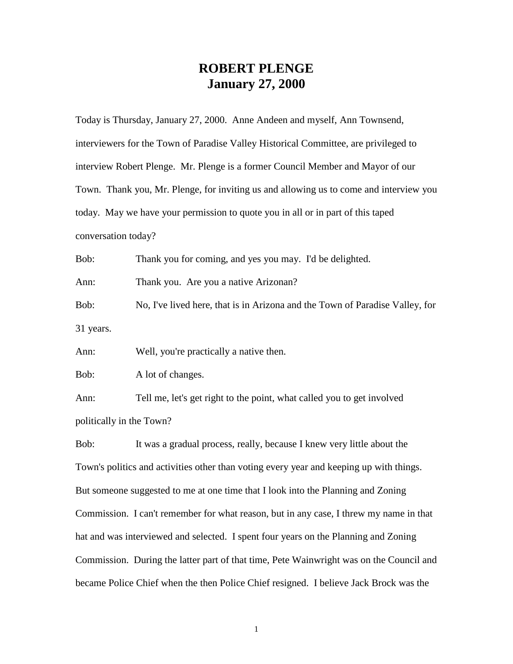## **ROBERT PLENGE January 27, 2000**

Today is Thursday, January 27, 2000. Anne Andeen and myself, Ann Townsend, interviewers for the Town of Paradise Valley Historical Committee, are privileged to interview Robert Plenge. Mr. Plenge is a former Council Member and Mayor of our Town. Thank you, Mr. Plenge, for inviting us and allowing us to come and interview you today. May we have your permission to quote you in all or in part of this taped conversation today?

Bob: Thank you for coming, and yes you may. I'd be delighted. Ann: Thank you. Are you a native Arizonan? Bob: No, I've lived here, that is in Arizona and the Town of Paradise Valley, for 31 years.

Ann: Well, you're practically a native then.

Bob: A lot of changes.

Ann: Tell me, let's get right to the point, what called you to get involved politically in the Town?

Bob: It was a gradual process, really, because I knew very little about the Town's politics and activities other than voting every year and keeping up with things. But someone suggested to me at one time that I look into the Planning and Zoning Commission. I can't remember for what reason, but in any case, I threw my name in that hat and was interviewed and selected. I spent four years on the Planning and Zoning Commission. During the latter part of that time, Pete Wainwright was on the Council and became Police Chief when the then Police Chief resigned. I believe Jack Brock was the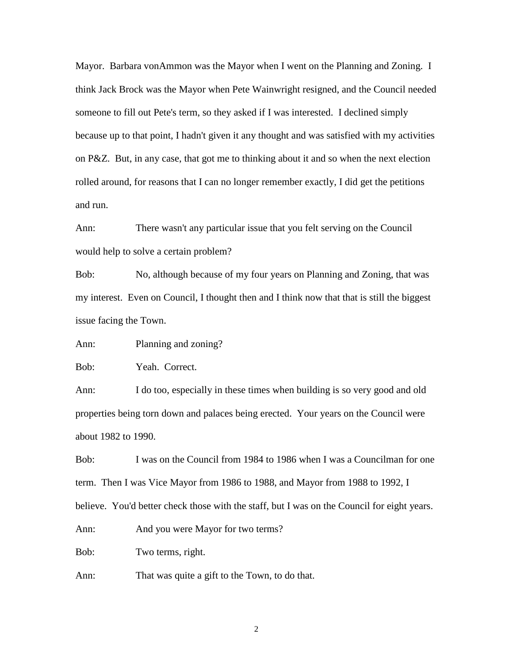Mayor. Barbara vonAmmon was the Mayor when I went on the Planning and Zoning. I think Jack Brock was the Mayor when Pete Wainwright resigned, and the Council needed someone to fill out Pete's term, so they asked if I was interested. I declined simply because up to that point, I hadn't given it any thought and was satisfied with my activities on P&Z. But, in any case, that got me to thinking about it and so when the next election rolled around, for reasons that I can no longer remember exactly, I did get the petitions and run.

Ann: There wasn't any particular issue that you felt serving on the Council would help to solve a certain problem?

Bob: No, although because of my four years on Planning and Zoning, that was my interest. Even on Council, I thought then and I think now that that is still the biggest issue facing the Town.

Ann: Planning and zoning?

Bob: Yeah. Correct.

Ann: I do too, especially in these times when building is so very good and old properties being torn down and palaces being erected. Your years on the Council were about 1982 to 1990.

Bob: I was on the Council from 1984 to 1986 when I was a Councilman for one term. Then I was Vice Mayor from 1986 to 1988, and Mayor from 1988 to 1992, I believe. You'd better check those with the staff, but I was on the Council for eight years.

Ann: And you were Mayor for two terms?

Bob: Two terms, right.

Ann: That was quite a gift to the Town, to do that.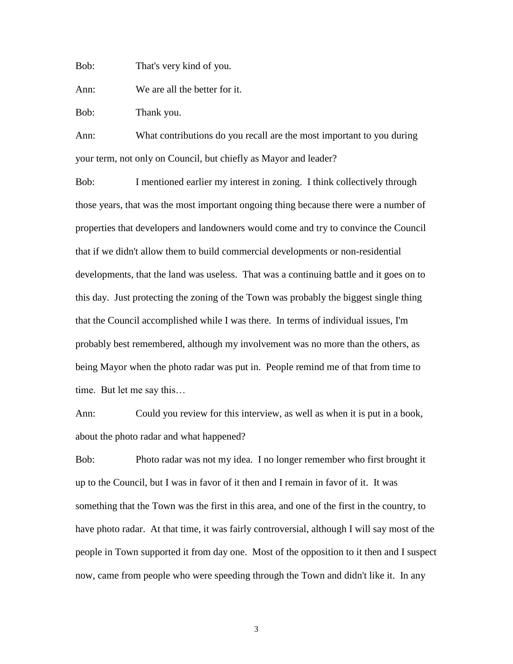Bob: That's very kind of you.

Ann: We are all the better for it.

Bob: Thank you.

Ann: What contributions do you recall are the most important to you during your term, not only on Council, but chiefly as Mayor and leader?

Bob: I mentioned earlier my interest in zoning. I think collectively through those years, that was the most important ongoing thing because there were a number of properties that developers and landowners would come and try to convince the Council that if we didn't allow them to build commercial developments or non-residential developments, that the land was useless. That was a continuing battle and it goes on to this day. Just protecting the zoning of the Town was probably the biggest single thing that the Council accomplished while I was there. In terms of individual issues, I'm probably best remembered, although my involvement was no more than the others, as being Mayor when the photo radar was put in. People remind me of that from time to time. But let me say this…

Ann: Could you review for this interview, as well as when it is put in a book, about the photo radar and what happened?

Bob: Photo radar was not my idea. I no longer remember who first brought it up to the Council, but I was in favor of it then and I remain in favor of it. It was something that the Town was the first in this area, and one of the first in the country, to have photo radar. At that time, it was fairly controversial, although I will say most of the people in Town supported it from day one. Most of the opposition to it then and I suspect now, came from people who were speeding through the Town and didn't like it. In any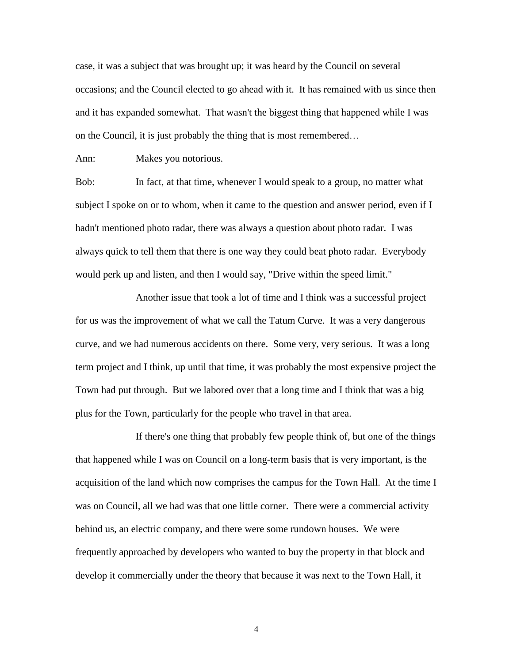case, it was a subject that was brought up; it was heard by the Council on several occasions; and the Council elected to go ahead with it. It has remained with us since then and it has expanded somewhat. That wasn't the biggest thing that happened while I was on the Council, it is just probably the thing that is most remembered…

Ann: Makes you notorious.

Bob: In fact, at that time, whenever I would speak to a group, no matter what subject I spoke on or to whom, when it came to the question and answer period, even if I hadn't mentioned photo radar, there was always a question about photo radar. I was always quick to tell them that there is one way they could beat photo radar. Everybody would perk up and listen, and then I would say, "Drive within the speed limit."

Another issue that took a lot of time and I think was a successful project for us was the improvement of what we call the Tatum Curve. It was a very dangerous curve, and we had numerous accidents on there. Some very, very serious. It was a long term project and I think, up until that time, it was probably the most expensive project the Town had put through. But we labored over that a long time and I think that was a big plus for the Town, particularly for the people who travel in that area.

If there's one thing that probably few people think of, but one of the things that happened while I was on Council on a long-term basis that is very important, is the acquisition of the land which now comprises the campus for the Town Hall. At the time I was on Council, all we had was that one little corner. There were a commercial activity behind us, an electric company, and there were some rundown houses. We were frequently approached by developers who wanted to buy the property in that block and develop it commercially under the theory that because it was next to the Town Hall, it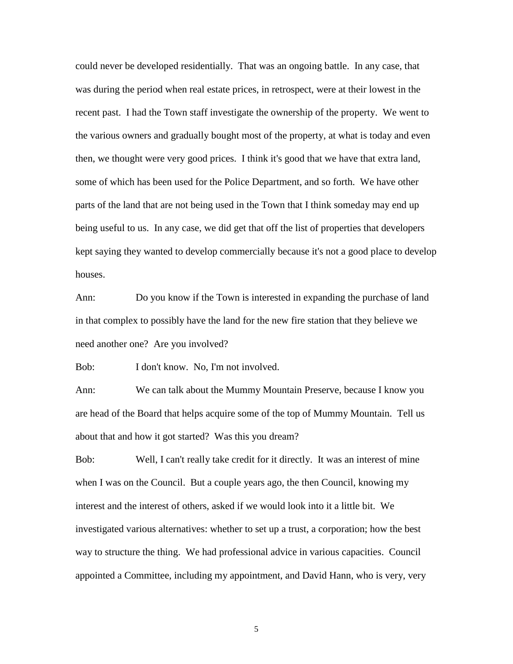could never be developed residentially. That was an ongoing battle. In any case, that was during the period when real estate prices, in retrospect, were at their lowest in the recent past. I had the Town staff investigate the ownership of the property. We went to the various owners and gradually bought most of the property, at what is today and even then, we thought were very good prices. I think it's good that we have that extra land, some of which has been used for the Police Department, and so forth. We have other parts of the land that are not being used in the Town that I think someday may end up being useful to us. In any case, we did get that off the list of properties that developers kept saying they wanted to develop commercially because it's not a good place to develop houses.

Ann: Do you know if the Town is interested in expanding the purchase of land in that complex to possibly have the land for the new fire station that they believe we need another one? Are you involved?

Bob: I don't know. No, I'm not involved.

Ann: We can talk about the Mummy Mountain Preserve, because I know you are head of the Board that helps acquire some of the top of Mummy Mountain. Tell us about that and how it got started? Was this you dream?

Bob: Well, I can't really take credit for it directly. It was an interest of mine when I was on the Council. But a couple years ago, the then Council, knowing my interest and the interest of others, asked if we would look into it a little bit. We investigated various alternatives: whether to set up a trust, a corporation; how the best way to structure the thing. We had professional advice in various capacities. Council appointed a Committee, including my appointment, and David Hann, who is very, very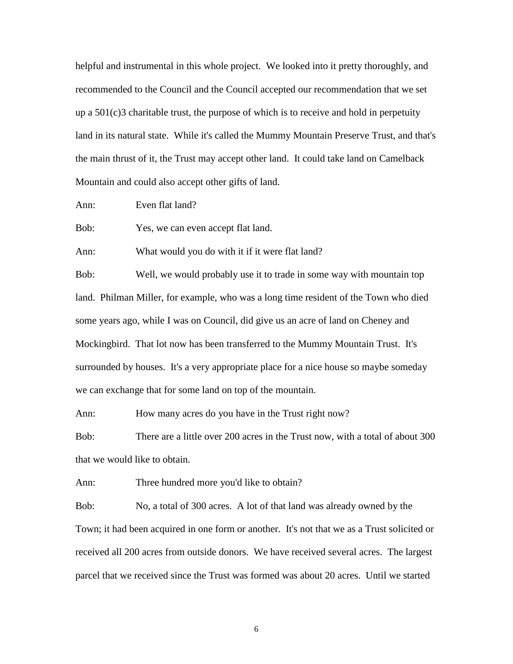helpful and instrumental in this whole project. We looked into it pretty thoroughly, and recommended to the Council and the Council accepted our recommendation that we set up a  $501(c)$ 3 charitable trust, the purpose of which is to receive and hold in perpetuity land in its natural state. While it's called the Mummy Mountain Preserve Trust, and that's the main thrust of it, the Trust may accept other land. It could take land on Camelback Mountain and could also accept other gifts of land.

Ann: Even flat land?

Bob: Yes, we can even accept flat land.

Ann: What would you do with it if it were flat land?

Bob: Well, we would probably use it to trade in some way with mountain top land. Philman Miller, for example, who was a long time resident of the Town who died some years ago, while I was on Council, did give us an acre of land on Cheney and Mockingbird. That lot now has been transferred to the Mummy Mountain Trust. It's surrounded by houses. It's a very appropriate place for a nice house so maybe someday we can exchange that for some land on top of the mountain.

Ann: How many acres do you have in the Trust right now?

Bob: There are a little over 200 acres in the Trust now, with a total of about 300 that we would like to obtain.

Ann: Three hundred more you'd like to obtain?

Bob: No, a total of 300 acres. A lot of that land was already owned by the Town; it had been acquired in one form or another. It's not that we as a Trust solicited or received all 200 acres from outside donors. We have received several acres. The largest parcel that we received since the Trust was formed was about 20 acres. Until we started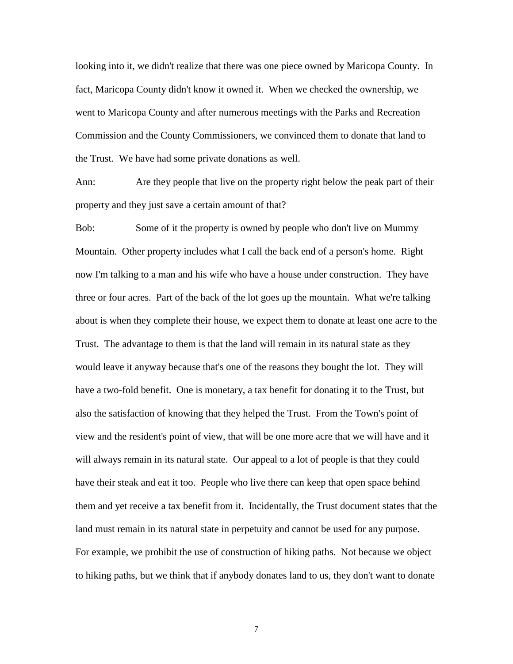looking into it, we didn't realize that there was one piece owned by Maricopa County. In fact, Maricopa County didn't know it owned it. When we checked the ownership, we went to Maricopa County and after numerous meetings with the Parks and Recreation Commission and the County Commissioners, we convinced them to donate that land to the Trust. We have had some private donations as well.

Ann: Are they people that live on the property right below the peak part of their property and they just save a certain amount of that?

Bob: Some of it the property is owned by people who don't live on Mummy Mountain. Other property includes what I call the back end of a person's home. Right now I'm talking to a man and his wife who have a house under construction. They have three or four acres. Part of the back of the lot goes up the mountain. What we're talking about is when they complete their house, we expect them to donate at least one acre to the Trust. The advantage to them is that the land will remain in its natural state as they would leave it anyway because that's one of the reasons they bought the lot. They will have a two-fold benefit. One is monetary, a tax benefit for donating it to the Trust, but also the satisfaction of knowing that they helped the Trust. From the Town's point of view and the resident's point of view, that will be one more acre that we will have and it will always remain in its natural state. Our appeal to a lot of people is that they could have their steak and eat it too. People who live there can keep that open space behind them and yet receive a tax benefit from it. Incidentally, the Trust document states that the land must remain in its natural state in perpetuity and cannot be used for any purpose. For example, we prohibit the use of construction of hiking paths. Not because we object to hiking paths, but we think that if anybody donates land to us, they don't want to donate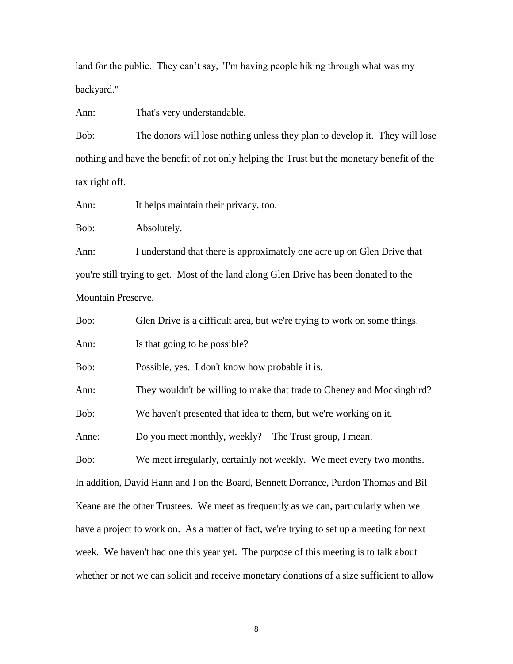land for the public. They can't say, "I'm having people hiking through what was my backyard."

Ann: That's very understandable.

Bob: The donors will lose nothing unless they plan to develop it. They will lose nothing and have the benefit of not only helping the Trust but the monetary benefit of the tax right off.

Ann: It helps maintain their privacy, too.

Bob: Absolutely.

Ann: I understand that there is approximately one acre up on Glen Drive that you're still trying to get. Most of the land along Glen Drive has been donated to the Mountain Preserve.

Bob: Glen Drive is a difficult area, but we're trying to work on some things.

Ann: Is that going to be possible?

Bob: Possible, yes. I don't know how probable it is.

Ann: They wouldn't be willing to make that trade to Cheney and Mockingbird?

Bob: We haven't presented that idea to them, but we're working on it.

Anne: Do you meet monthly, weekly? The Trust group, I mean.

Bob: We meet irregularly, certainly not weekly. We meet every two months. In addition, David Hann and I on the Board, Bennett Dorrance, Purdon Thomas and Bil Keane are the other Trustees. We meet as frequently as we can, particularly when we have a project to work on. As a matter of fact, we're trying to set up a meeting for next week. We haven't had one this year yet. The purpose of this meeting is to talk about whether or not we can solicit and receive monetary donations of a size sufficient to allow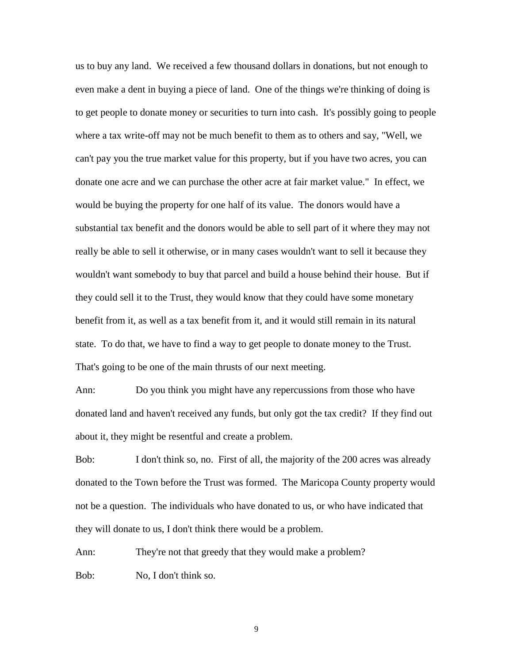us to buy any land. We received a few thousand dollars in donations, but not enough to even make a dent in buying a piece of land. One of the things we're thinking of doing is to get people to donate money or securities to turn into cash. It's possibly going to people where a tax write-off may not be much benefit to them as to others and say, "Well, we can't pay you the true market value for this property, but if you have two acres, you can donate one acre and we can purchase the other acre at fair market value." In effect, we would be buying the property for one half of its value. The donors would have a substantial tax benefit and the donors would be able to sell part of it where they may not really be able to sell it otherwise, or in many cases wouldn't want to sell it because they wouldn't want somebody to buy that parcel and build a house behind their house. But if they could sell it to the Trust, they would know that they could have some monetary benefit from it, as well as a tax benefit from it, and it would still remain in its natural state. To do that, we have to find a way to get people to donate money to the Trust. That's going to be one of the main thrusts of our next meeting.

Ann: Do you think you might have any repercussions from those who have donated land and haven't received any funds, but only got the tax credit? If they find out about it, they might be resentful and create a problem.

Bob: I don't think so, no. First of all, the majority of the 200 acres was already donated to the Town before the Trust was formed. The Maricopa County property would not be a question. The individuals who have donated to us, or who have indicated that they will donate to us, I don't think there would be a problem.

Ann: They're not that greedy that they would make a problem? Bob: No, I don't think so.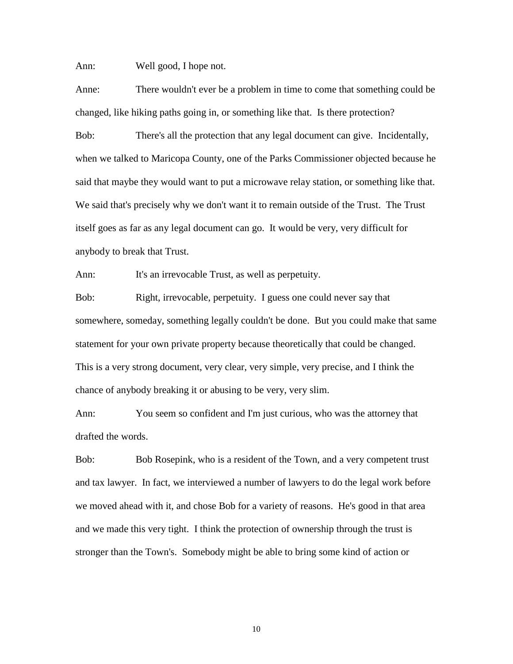Ann: Well good, I hope not.

Anne: There wouldn't ever be a problem in time to come that something could be changed, like hiking paths going in, or something like that. Is there protection?

Bob: There's all the protection that any legal document can give. Incidentally, when we talked to Maricopa County, one of the Parks Commissioner objected because he said that maybe they would want to put a microwave relay station, or something like that. We said that's precisely why we don't want it to remain outside of the Trust. The Trust itself goes as far as any legal document can go. It would be very, very difficult for anybody to break that Trust.

Ann: It's an irrevocable Trust, as well as perpetuity.

Bob: Right, irrevocable, perpetuity. I guess one could never say that somewhere, someday, something legally couldn't be done. But you could make that same statement for your own private property because theoretically that could be changed. This is a very strong document, very clear, very simple, very precise, and I think the chance of anybody breaking it or abusing to be very, very slim.

Ann: You seem so confident and I'm just curious, who was the attorney that drafted the words.

Bob: Bob Rosepink, who is a resident of the Town, and a very competent trust and tax lawyer. In fact, we interviewed a number of lawyers to do the legal work before we moved ahead with it, and chose Bob for a variety of reasons. He's good in that area and we made this very tight. I think the protection of ownership through the trust is stronger than the Town's. Somebody might be able to bring some kind of action or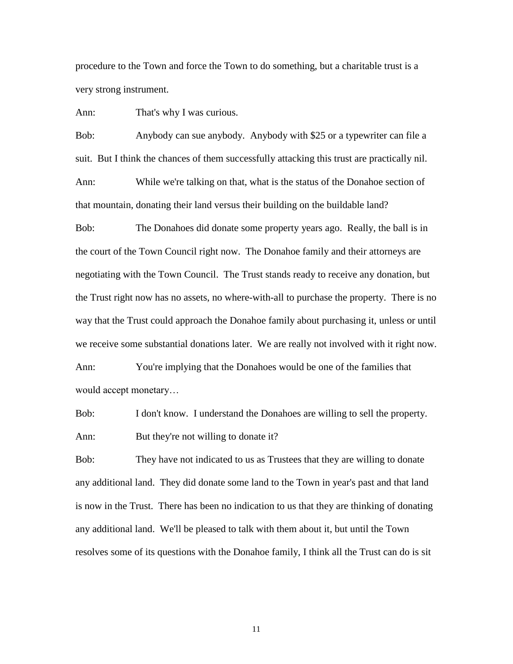procedure to the Town and force the Town to do something, but a charitable trust is a very strong instrument.

Ann: That's why I was curious.

Bob: Anybody can sue anybody. Anybody with \$25 or a typewriter can file a suit. But I think the chances of them successfully attacking this trust are practically nil.

Ann: While we're talking on that, what is the status of the Donahoe section of that mountain, donating their land versus their building on the buildable land?

Bob: The Donahoes did donate some property years ago. Really, the ball is in the court of the Town Council right now. The Donahoe family and their attorneys are negotiating with the Town Council. The Trust stands ready to receive any donation, but the Trust right now has no assets, no where-with-all to purchase the property. There is no way that the Trust could approach the Donahoe family about purchasing it, unless or until we receive some substantial donations later. We are really not involved with it right now. Ann: You're implying that the Donahoes would be one of the families that

would accept monetary…

Bob: I don't know. I understand the Donahoes are willing to sell the property. Ann: But they're not willing to donate it?

Bob: They have not indicated to us as Trustees that they are willing to donate any additional land. They did donate some land to the Town in year's past and that land is now in the Trust. There has been no indication to us that they are thinking of donating any additional land. We'll be pleased to talk with them about it, but until the Town resolves some of its questions with the Donahoe family, I think all the Trust can do is sit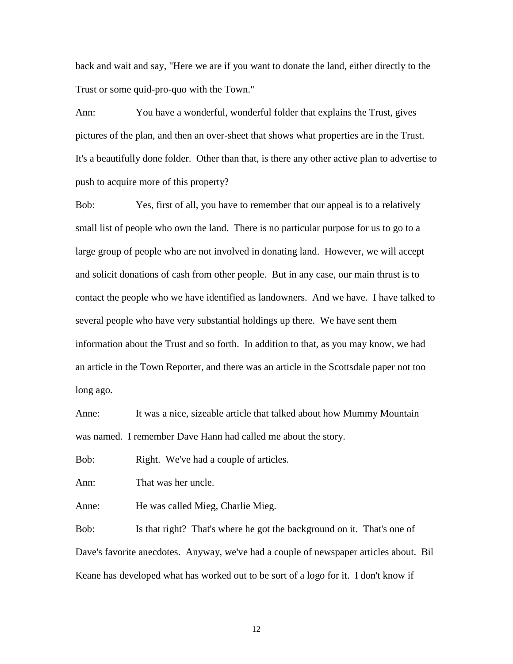back and wait and say, "Here we are if you want to donate the land, either directly to the Trust or some quid-pro-quo with the Town."

Ann: You have a wonderful, wonderful folder that explains the Trust, gives pictures of the plan, and then an over-sheet that shows what properties are in the Trust. It's a beautifully done folder. Other than that, is there any other active plan to advertise to push to acquire more of this property?

Bob: Yes, first of all, you have to remember that our appeal is to a relatively small list of people who own the land. There is no particular purpose for us to go to a large group of people who are not involved in donating land. However, we will accept and solicit donations of cash from other people. But in any case, our main thrust is to contact the people who we have identified as landowners. And we have. I have talked to several people who have very substantial holdings up there. We have sent them information about the Trust and so forth. In addition to that, as you may know, we had an article in the Town Reporter, and there was an article in the Scottsdale paper not too long ago.

Anne: It was a nice, sizeable article that talked about how Mummy Mountain was named. I remember Dave Hann had called me about the story.

Bob: Right. We've had a couple of articles.

Ann: That was her uncle.

Anne: He was called Mieg, Charlie Mieg.

Bob: Is that right? That's where he got the background on it. That's one of Dave's favorite anecdotes. Anyway, we've had a couple of newspaper articles about. Bil Keane has developed what has worked out to be sort of a logo for it. I don't know if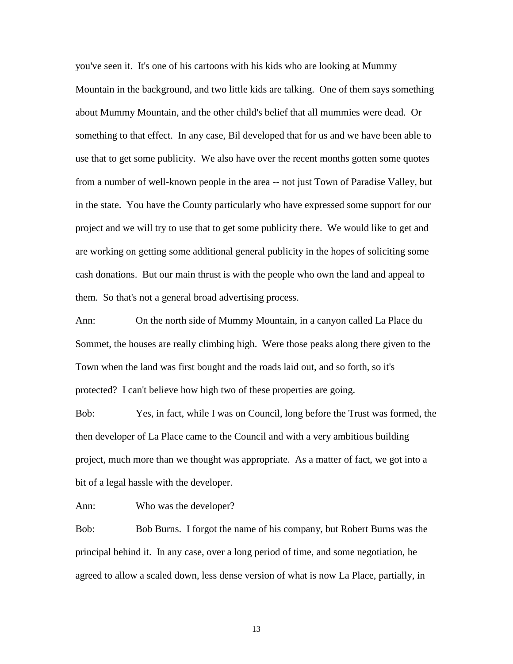you've seen it. It's one of his cartoons with his kids who are looking at Mummy Mountain in the background, and two little kids are talking. One of them says something about Mummy Mountain, and the other child's belief that all mummies were dead. Or something to that effect. In any case, Bil developed that for us and we have been able to use that to get some publicity. We also have over the recent months gotten some quotes from a number of well-known people in the area -- not just Town of Paradise Valley, but in the state. You have the County particularly who have expressed some support for our project and we will try to use that to get some publicity there. We would like to get and are working on getting some additional general publicity in the hopes of soliciting some cash donations. But our main thrust is with the people who own the land and appeal to them. So that's not a general broad advertising process.

Ann: On the north side of Mummy Mountain, in a canyon called La Place du Sommet, the houses are really climbing high. Were those peaks along there given to the Town when the land was first bought and the roads laid out, and so forth, so it's protected? I can't believe how high two of these properties are going.

Bob: Yes, in fact, while I was on Council, long before the Trust was formed, the then developer of La Place came to the Council and with a very ambitious building project, much more than we thought was appropriate. As a matter of fact, we got into a bit of a legal hassle with the developer.

Ann: Who was the developer?

Bob: Bob Burns. I forgot the name of his company, but Robert Burns was the principal behind it. In any case, over a long period of time, and some negotiation, he agreed to allow a scaled down, less dense version of what is now La Place, partially, in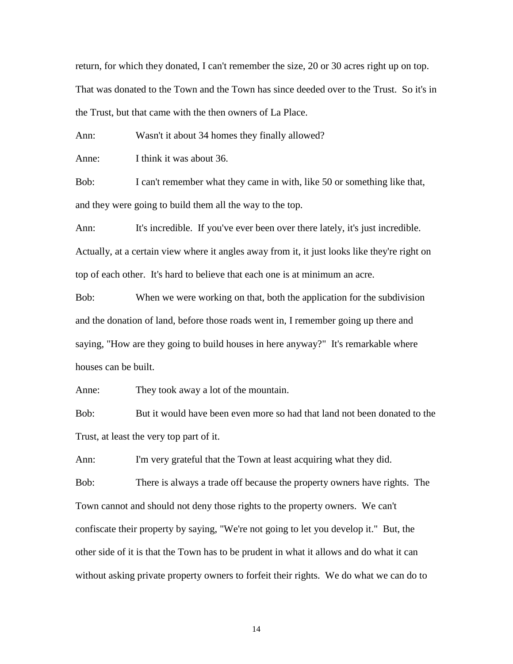return, for which they donated, I can't remember the size, 20 or 30 acres right up on top. That was donated to the Town and the Town has since deeded over to the Trust. So it's in the Trust, but that came with the then owners of La Place.

Ann: Wasn't it about 34 homes they finally allowed?

Anne: I think it was about 36.

Bob: I can't remember what they came in with, like 50 or something like that, and they were going to build them all the way to the top.

Ann: It's incredible. If you've ever been over there lately, it's just incredible. Actually, at a certain view where it angles away from it, it just looks like they're right on top of each other. It's hard to believe that each one is at minimum an acre.

Bob: When we were working on that, both the application for the subdivision and the donation of land, before those roads went in, I remember going up there and saying, "How are they going to build houses in here anyway?" It's remarkable where houses can be built.

Anne: They took away a lot of the mountain.

Bob: But it would have been even more so had that land not been donated to the Trust, at least the very top part of it.

Ann: I'm very grateful that the Town at least acquiring what they did.

Bob: There is always a trade off because the property owners have rights. The Town cannot and should not deny those rights to the property owners. We can't confiscate their property by saying, "We're not going to let you develop it." But, the other side of it is that the Town has to be prudent in what it allows and do what it can without asking private property owners to forfeit their rights. We do what we can do to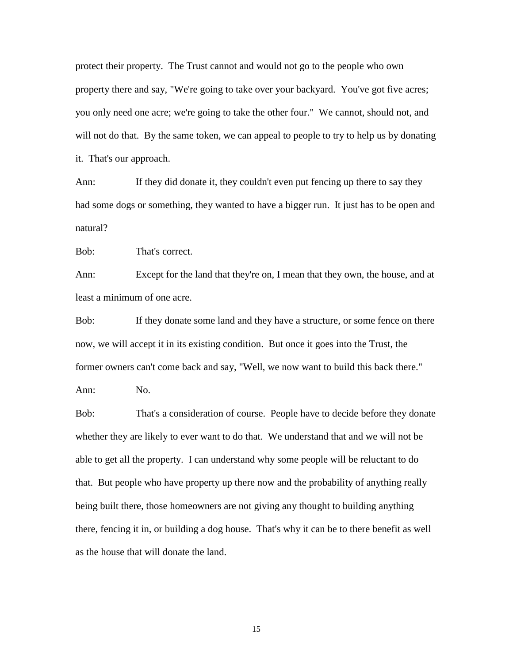protect their property. The Trust cannot and would not go to the people who own property there and say, "We're going to take over your backyard. You've got five acres; you only need one acre; we're going to take the other four." We cannot, should not, and will not do that. By the same token, we can appeal to people to try to help us by donating it. That's our approach.

Ann: If they did donate it, they couldn't even put fencing up there to say they had some dogs or something, they wanted to have a bigger run. It just has to be open and natural?

Bob: That's correct.

Ann: Except for the land that they're on, I mean that they own, the house, and at least a minimum of one acre.

Bob: If they donate some land and they have a structure, or some fence on there now, we will accept it in its existing condition. But once it goes into the Trust, the former owners can't come back and say, "Well, we now want to build this back there."

Ann: No.

Bob: That's a consideration of course. People have to decide before they donate whether they are likely to ever want to do that. We understand that and we will not be able to get all the property. I can understand why some people will be reluctant to do that. But people who have property up there now and the probability of anything really being built there, those homeowners are not giving any thought to building anything there, fencing it in, or building a dog house. That's why it can be to there benefit as well as the house that will donate the land.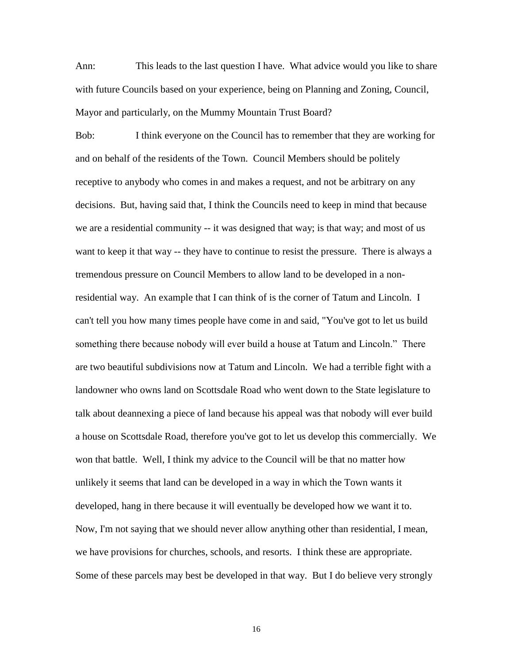Ann: This leads to the last question I have. What advice would you like to share with future Councils based on your experience, being on Planning and Zoning, Council, Mayor and particularly, on the Mummy Mountain Trust Board?

Bob: I think everyone on the Council has to remember that they are working for and on behalf of the residents of the Town. Council Members should be politely receptive to anybody who comes in and makes a request, and not be arbitrary on any decisions. But, having said that, I think the Councils need to keep in mind that because we are a residential community -- it was designed that way; is that way; and most of us want to keep it that way -- they have to continue to resist the pressure. There is always a tremendous pressure on Council Members to allow land to be developed in a nonresidential way. An example that I can think of is the corner of Tatum and Lincoln. I can't tell you how many times people have come in and said, "You've got to let us build something there because nobody will ever build a house at Tatum and Lincoln." There are two beautiful subdivisions now at Tatum and Lincoln. We had a terrible fight with a landowner who owns land on Scottsdale Road who went down to the State legislature to talk about deannexing a piece of land because his appeal was that nobody will ever build a house on Scottsdale Road, therefore you've got to let us develop this commercially. We won that battle. Well, I think my advice to the Council will be that no matter how unlikely it seems that land can be developed in a way in which the Town wants it developed, hang in there because it will eventually be developed how we want it to. Now, I'm not saying that we should never allow anything other than residential, I mean, we have provisions for churches, schools, and resorts. I think these are appropriate. Some of these parcels may best be developed in that way. But I do believe very strongly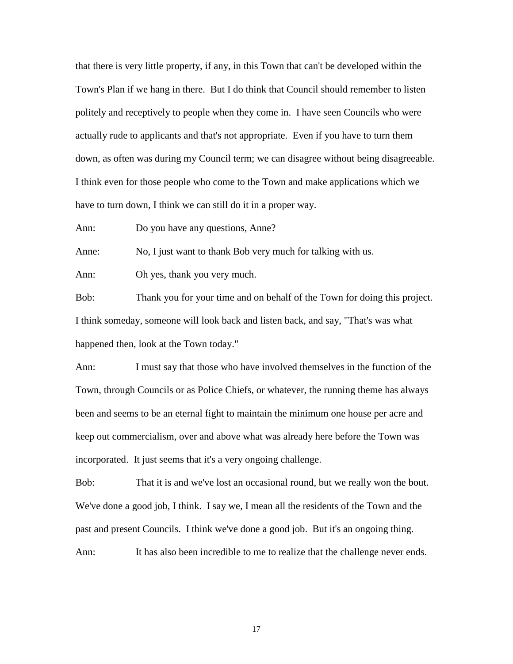that there is very little property, if any, in this Town that can't be developed within the Town's Plan if we hang in there. But I do think that Council should remember to listen politely and receptively to people when they come in. I have seen Councils who were actually rude to applicants and that's not appropriate. Even if you have to turn them down, as often was during my Council term; we can disagree without being disagreeable. I think even for those people who come to the Town and make applications which we have to turn down, I think we can still do it in a proper way.

Ann: Do you have any questions, Anne?

Anne: No, I just want to thank Bob very much for talking with us.

Ann: Oh yes, thank you very much.

Bob: Thank you for your time and on behalf of the Town for doing this project. I think someday, someone will look back and listen back, and say, "That's was what happened then, look at the Town today."

Ann: I must say that those who have involved themselves in the function of the Town, through Councils or as Police Chiefs, or whatever, the running theme has always been and seems to be an eternal fight to maintain the minimum one house per acre and keep out commercialism, over and above what was already here before the Town was incorporated. It just seems that it's a very ongoing challenge.

Bob: That it is and we've lost an occasional round, but we really won the bout. We've done a good job, I think. I say we, I mean all the residents of the Town and the past and present Councils. I think we've done a good job. But it's an ongoing thing.

Ann: It has also been incredible to me to realize that the challenge never ends.